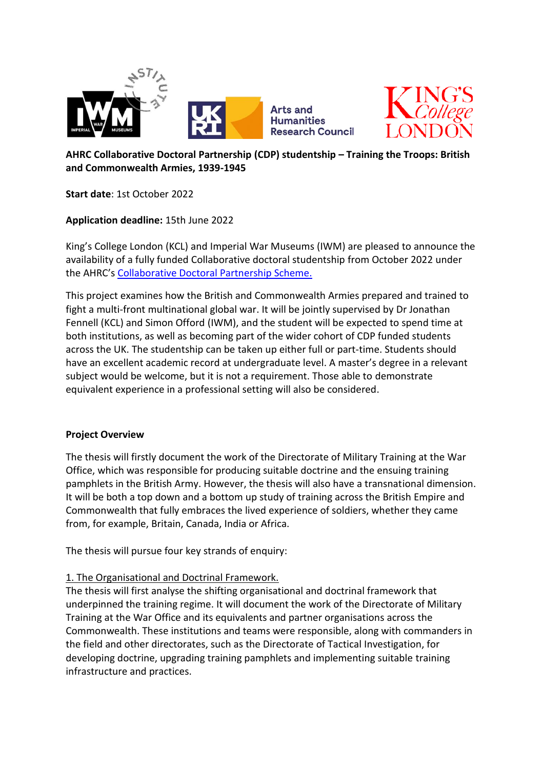



## **AHRC Collaborative Doctoral Partnership (CDP) studentship – Training the Troops: British and Commonwealth Armies, 1939-1945**

**Start date**: 1st October 2022

**Application deadline:** 15th June 2022

King's College London (KCL) and Imperial War Museums (IWM) are pleased to announce the availability of a fully funded Collaborative doctoral studentship from October 2022 under the AHRC's [Collaborative Doctoral Partnership Scheme.](https://ahrc.ukri.org/skills/phdstudents/collaborative-doctoral-partnerships-scheme/)

This project examines how the British and Commonwealth Armies prepared and trained to fight a multi-front multinational global war. It will be jointly supervised by Dr Jonathan Fennell (KCL) and Simon Offord (IWM), and the student will be expected to spend time at both institutions, as well as becoming part of the wider cohort of CDP funded students across the UK. The studentship can be taken up either full or part-time. Students should have an excellent academic record at undergraduate level. A master's degree in a relevant subject would be welcome, but it is not a requirement. Those able to demonstrate equivalent experience in a professional setting will also be considered.

### **Project Overview**

The thesis will firstly document the work of the Directorate of Military Training at the War Office, which was responsible for producing suitable doctrine and the ensuing training pamphlets in the British Army. However, the thesis will also have a transnational dimension. It will be both a top down and a bottom up study of training across the British Empire and Commonwealth that fully embraces the lived experience of soldiers, whether they came from, for example, Britain, Canada, India or Africa.

The thesis will pursue four key strands of enquiry:

# 1. The Organisational and Doctrinal Framework.

The thesis will first analyse the shifting organisational and doctrinal framework that underpinned the training regime. It will document the work of the Directorate of Military Training at the War Office and its equivalents and partner organisations across the Commonwealth. These institutions and teams were responsible, along with commanders in the field and other directorates, such as the Directorate of Tactical Investigation, for developing doctrine, upgrading training pamphlets and implementing suitable training infrastructure and practices.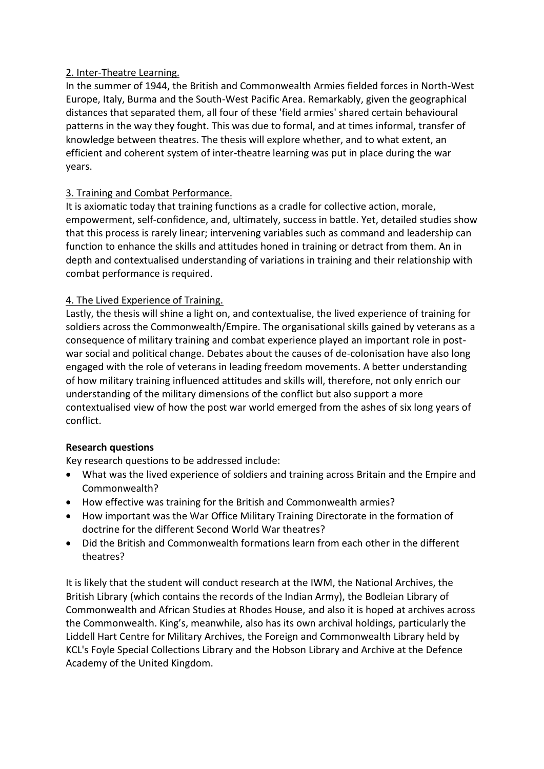## 2. Inter-Theatre Learning.

In the summer of 1944, the British and Commonwealth Armies fielded forces in North-West Europe, Italy, Burma and the South-West Pacific Area. Remarkably, given the geographical distances that separated them, all four of these 'field armies' shared certain behavioural patterns in the way they fought. This was due to formal, and at times informal, transfer of knowledge between theatres. The thesis will explore whether, and to what extent, an efficient and coherent system of inter-theatre learning was put in place during the war years.

## 3. Training and Combat Performance.

It is axiomatic today that training functions as a cradle for collective action, morale, empowerment, self-confidence, and, ultimately, success in battle. Yet, detailed studies show that this process is rarely linear; intervening variables such as command and leadership can function to enhance the skills and attitudes honed in training or detract from them. An in depth and contextualised understanding of variations in training and their relationship with combat performance is required.

## 4. The Lived Experience of Training.

Lastly, the thesis will shine a light on, and contextualise, the lived experience of training for soldiers across the Commonwealth/Empire. The organisational skills gained by veterans as a consequence of military training and combat experience played an important role in postwar social and political change. Debates about the causes of de-colonisation have also long engaged with the role of veterans in leading freedom movements. A better understanding of how military training influenced attitudes and skills will, therefore, not only enrich our understanding of the military dimensions of the conflict but also support a more contextualised view of how the post war world emerged from the ashes of six long years of conflict.

### **Research questions**

Key research questions to be addressed include:

- What was the lived experience of soldiers and training across Britain and the Empire and Commonwealth?
- How effective was training for the British and Commonwealth armies?
- How important was the War Office Military Training Directorate in the formation of doctrine for the different Second World War theatres?
- Did the British and Commonwealth formations learn from each other in the different theatres?

It is likely that the student will conduct research at the IWM, the National Archives, the British Library (which contains the records of the Indian Army), the Bodleian Library of Commonwealth and African Studies at Rhodes House, and also it is hoped at archives across the Commonwealth. King's, meanwhile, also has its own archival holdings, particularly the Liddell Hart Centre for Military Archives, the Foreign and Commonwealth Library held by KCL's Foyle Special Collections Library and the Hobson Library and Archive at the Defence Academy of the United Kingdom.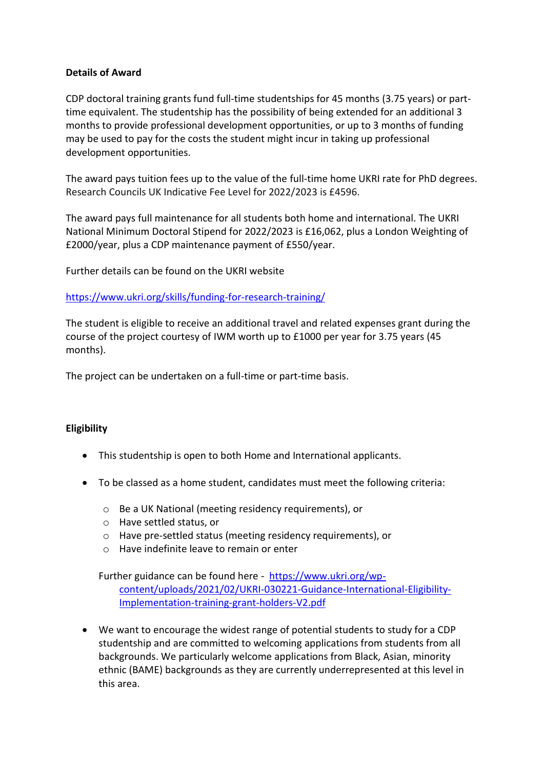#### **Details of Award**

CDP doctoral training grants fund full-time studentships for 45 months (3.75 years) or parttime equivalent. The studentship has the possibility of being extended for an additional 3 months to provide professional development opportunities, or up to 3 months of funding may be used to pay for the costs the student might incur in taking up professional development opportunities.

The award pays tuition fees up to the value of the full-time home UKRI rate for PhD degrees. Research Councils UK Indicative Fee Level for 2022/2023 is £4596.

The award pays full maintenance for all students both home and international. The UKRI National Minimum Doctoral Stipend for 2022/2023 is £16,062, plus a London Weighting of £2000/year, plus a CDP maintenance payment of £550/year.

Further details can be found on the UKRI website

### <https://www.ukri.org/skills/funding-for-research-training/>

The student is eligible to receive an additional travel and related expenses grant during the course of the project courtesy of IWM worth up to £1000 per year for 3.75 years (45 months).

The project can be undertaken on a full-time or part-time basis.

### **Eligibility**

- This studentship is open to both Home and International applicants.
- To be classed as a home student, candidates must meet the following criteria:
	- o Be a UK National (meeting residency requirements), or
	- o Have settled status, or
	- o Have pre-settled status (meeting residency requirements), or
	- $\circ$  Have indefinite leave to remain or enter

Further guidance can be found here - [https://www.ukri.org/wp](https://www.ukri.org/wp-content/uploads/2021/02/UKRI-030221-Guidance-International-Eligibility-Implementation-training-grant-holders-V2.pdf)[content/uploads/2021/02/UKRI-030221-Guidance-International-Eligibility-](https://www.ukri.org/wp-content/uploads/2021/02/UKRI-030221-Guidance-International-Eligibility-Implementation-training-grant-holders-V2.pdf)[Implementation-training-grant-holders-V2.pdf](https://www.ukri.org/wp-content/uploads/2021/02/UKRI-030221-Guidance-International-Eligibility-Implementation-training-grant-holders-V2.pdf)

• We want to encourage the widest range of potential students to study for a CDP studentship and are committed to welcoming applications from students from all backgrounds. We particularly welcome applications from Black, Asian, minority ethnic (BAME) backgrounds as they are currently underrepresented at this level in this area.